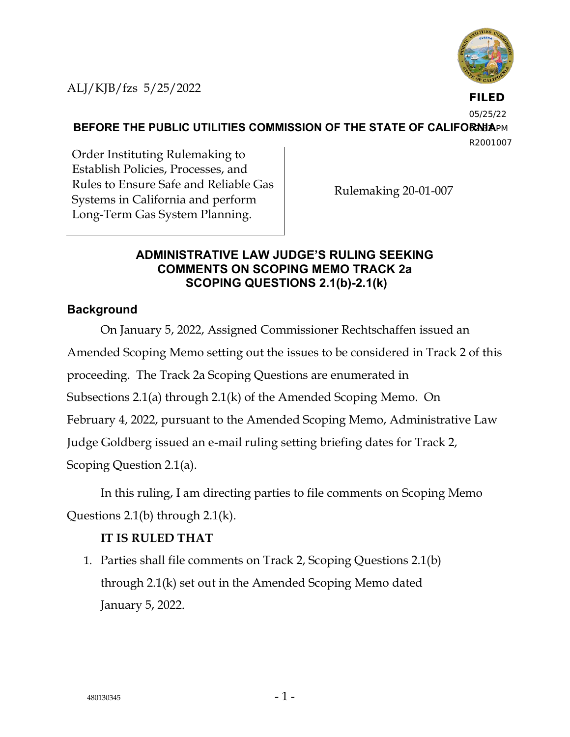

**FILED**

05/25/22

**BEFORE THE PUBLIC UTILITIES COMMISSION OF THE STATE OF CALIFORNIAPM** 

R2001007

Order Instituting Rulemaking to Establish Policies, Processes, and Rules to Ensure Safe and Reliable Gas Systems in California and perform Long-Term Gas System Planning.

Rulemaking 20-01-007

## **ADMINISTRATIVE LAW JUDGE'S RULING SEEKING COMMENTS ON SCOPING MEMO TRACK 2a SCOPING QUESTIONS 2.1(b)-2.1(k)**

## **Background**

On January 5, 2022, Assigned Commissioner Rechtschaffen issued an Amended Scoping Memo setting out the issues to be considered in Track 2 of this proceeding. The Track 2a Scoping Questions are enumerated in Subsections 2.1(a) through 2.1(k) of the Amended Scoping Memo. On February 4, 2022, pursuant to the Amended Scoping Memo, Administrative Law Judge Goldberg issued an e-mail ruling setting briefing dates for Track 2, Scoping Question 2.1(a).

In this ruling, I am directing parties to file comments on Scoping Memo Questions 2.1(b) through 2.1(k).

## **IT IS RULED THAT**

1. Parties shall file comments on Track 2, Scoping Questions 2.1(b) through 2.1(k) set out in the Amended Scoping Memo dated January 5, 2022.